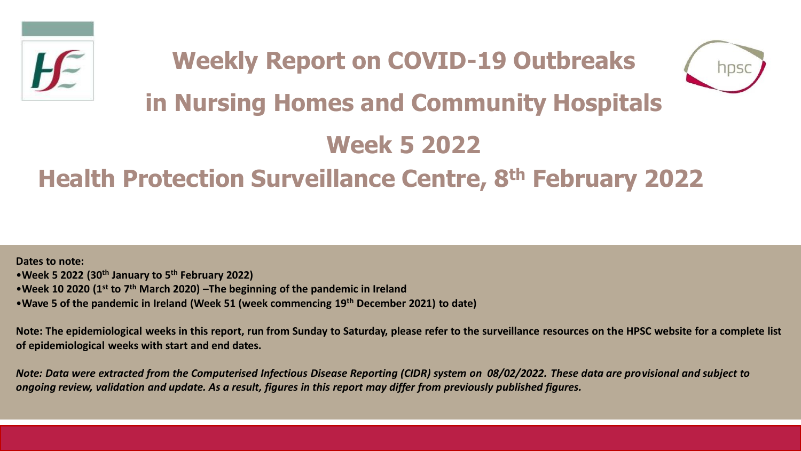



# **in Nursing Homes and Community Hospitals**

# **Week 5 2022**

# **Health Protection Surveillance Centre, 8th February 2022**

**Dates to note:** •**Week 5 2022 (30th January to 5th February 2022)** •**Week 10 2020 (1st to 7th March 2020) –The beginning of the pandemic in Ireland**  •**Wave 5 of the pandemic in Ireland (Week 51 (week commencing 19th December 2021) to date)**

**Note: The epidemiological weeks in this report, run from Sunday to Saturday, please refer to the surveillance resources on the HPSC website for a complete list of epidemiological weeks with start and end dates.**

*Note: Data were extracted from the Computerised Infectious Disease Reporting (CIDR) system on 08/02/2022. These data are provisional and subject to ongoing review, validation and update. As a result, figures in this report may differ from previously published figures.*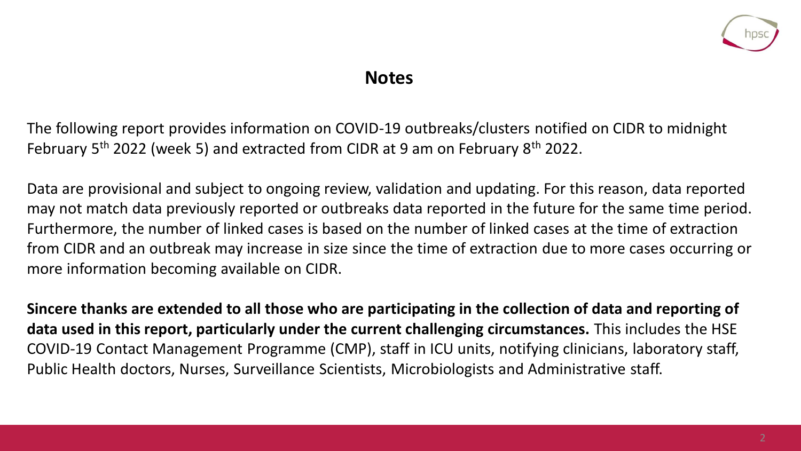

### **Notes**

The following report provides information on COVID-19 outbreaks/clusters notified on CIDR to midnight February 5th 2022 (week 5) and extracted from CIDR at 9 am on February 8th 2022.

Data are provisional and subject to ongoing review, validation and updating. For this reason, data reported may not match data previously reported or outbreaks data reported in the future for the same time period. Furthermore, the number of linked cases is based on the number of linked cases at the time of extraction from CIDR and an outbreak may increase in size since the time of extraction due to more cases occurring or more information becoming available on CIDR.

**Sincere thanks are extended to all those who are participating in the collection of data and reporting of data used in this report, particularly under the current challenging circumstances.** This includes the HSE COVID-19 Contact Management Programme (CMP), staff in ICU units, notifying clinicians, laboratory staff, Public Health doctors, Nurses, Surveillance Scientists, Microbiologists and Administrative staff.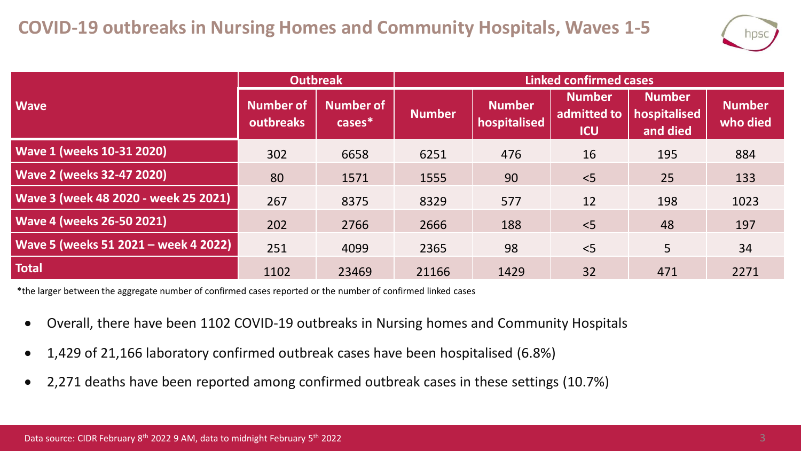

|                                      | <b>Outbreak</b>        |                               | <b>Linked confirmed cases</b> |                               |                                            |                                           |                           |  |
|--------------------------------------|------------------------|-------------------------------|-------------------------------|-------------------------------|--------------------------------------------|-------------------------------------------|---------------------------|--|
| <b>Wave</b>                          | Number of<br>outbreaks | <b>Number of</b><br>$cases^*$ | <b>Number</b>                 | <b>Number</b><br>hospitalised | <b>Number</b><br>admitted to<br><b>ICU</b> | <b>Number</b><br>hospitalised<br>and died | <b>Number</b><br>who died |  |
| <b>Wave 1 (weeks 10-31 2020)</b>     | 302                    | 6658                          | 6251                          | 476                           | 16                                         | 195                                       | 884                       |  |
| <b>Wave 2 (weeks 32-47 2020)</b>     | 80                     | 1571                          | 1555                          | 90                            | < 5                                        | 25                                        | 133                       |  |
| Wave 3 (week 48 2020 - week 25 2021) | 267                    | 8375                          | 8329                          | 577                           | 12                                         | 198                                       | 1023                      |  |
| <b>Wave 4 (weeks 26-50 2021)</b>     | 202                    | 2766                          | 2666                          | 188                           | < 5                                        | 48                                        | 197                       |  |
| Wave 5 (weeks 51 2021 - week 4 2022) | 251                    | 4099                          | 2365                          | 98                            | < 5                                        | 5                                         | 34                        |  |
| <b>Total</b>                         | 1102                   | 23469                         | 21166                         | 1429                          | 32                                         | 471                                       | 2271                      |  |

\*the larger between the aggregate number of confirmed cases reported or the number of confirmed linked cases

- Overall, there have been 1102 COVID-19 outbreaks in Nursing homes and Community Hospitals
- 1,429 of 21,166 laboratory confirmed outbreak cases have been hospitalised (6.8%)
- 2,271 deaths have been reported among confirmed outbreak cases in these settings (10.7%)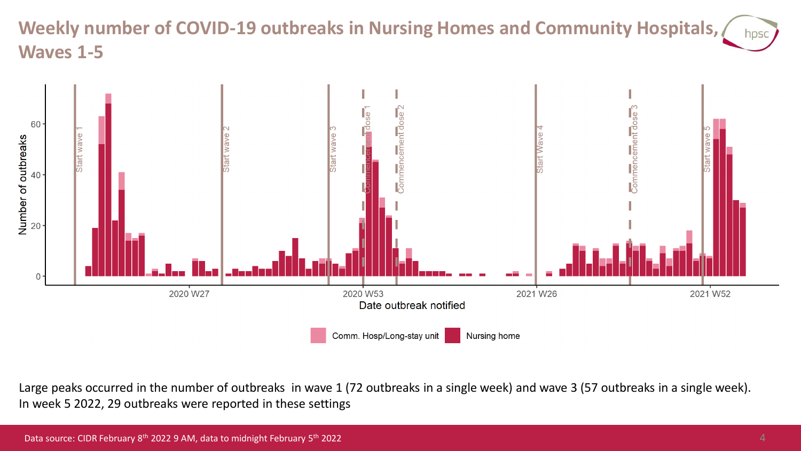#### **Weekly number of COVID-19 outbreaks in Nursing Homes and Community Hospitals,**  hpsc **Waves 1-5**



Large peaks occurred in the number of outbreaks in wave 1 (72 outbreaks in a single week) and wave 3 (57 outbreaks in a single week). In week 5 2022, 29 outbreaks were reported in these settings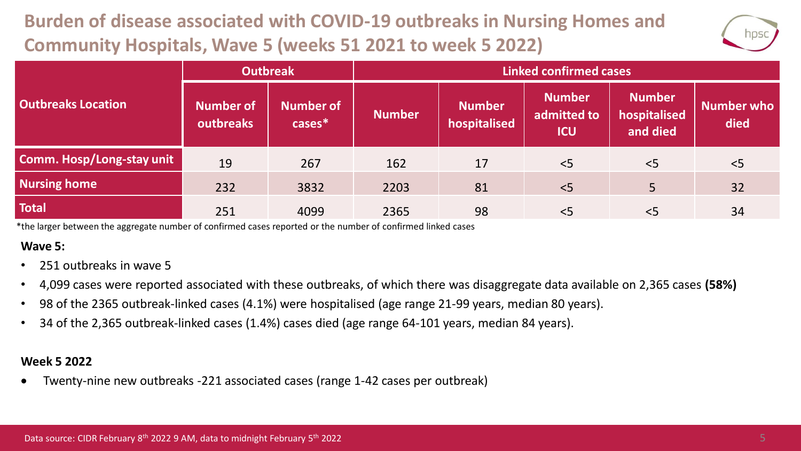## **Burden of disease associated with COVID-19 outbreaks in Nursing Homes and Community Hospitals, Wave 5 (weeks 51 2021 to week 5 2022)**



|                                  | <b>Outbreak</b>        |                               | <b>Linked confirmed cases</b> |                               |                                            |                                           |                    |  |
|----------------------------------|------------------------|-------------------------------|-------------------------------|-------------------------------|--------------------------------------------|-------------------------------------------|--------------------|--|
| <b>Outbreaks Location</b>        | Number of<br>outbreaks | <b>Number of</b><br>$cases^*$ | <b>Number</b>                 | <b>Number</b><br>hospitalised | <b>Number</b><br>admitted to<br><b>ICU</b> | <b>Number</b><br>hospitalised<br>and died | Number who<br>died |  |
| <b>Comm. Hosp/Long-stay unit</b> | 19                     | 267                           | 162                           | 17                            | $<$ 5                                      | < 5                                       | < 5                |  |
| <b>Nursing home</b>              | 232                    | 3832                          | 2203                          | 81                            | < 5                                        | 5                                         | 32                 |  |
| <b>Total</b>                     | 251                    | 4099                          | 2365                          | 98                            | < 5                                        | $<$ 5                                     | 34                 |  |

\*the larger between the aggregate number of confirmed cases reported or the number of confirmed linked cases

#### **Wave 5:**

- 251 outbreaks in wave 5
- 4,099 cases were reported associated with these outbreaks, of which there was disaggregate data available on 2,365 cases **(58%)**
- 98 of the 2365 outbreak-linked cases (4.1%) were hospitalised (age range 21-99 years, median 80 years).
- 34 of the 2,365 outbreak-linked cases (1.4%) cases died (age range 64-101 years, median 84 years).

#### **Week 5 2022**

• Twenty-nine new outbreaks -221 associated cases (range 1-42 cases per outbreak)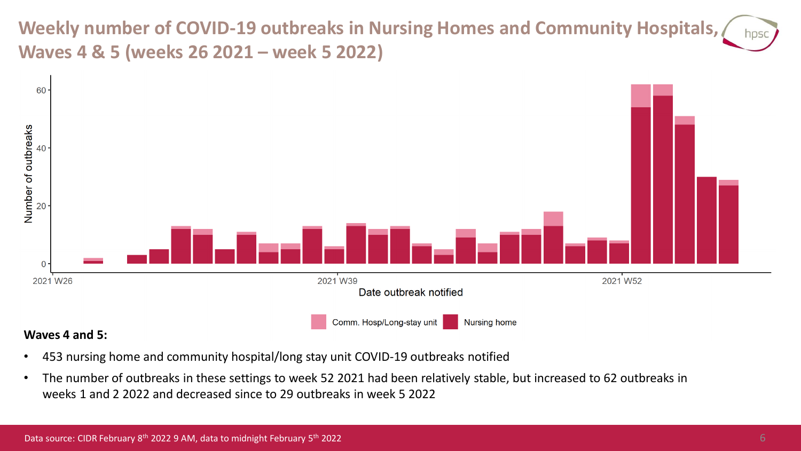**Weekly number of COVID-19 outbreaks in Nursing Homes and Community Hospitals, Waves 4 & 5 (weeks 26 2021 – week 5 2022)**



#### **Waves 4 and 5:**

- 453 nursing home and community hospital/long stay unit COVID-19 outbreaks notified
- The number of outbreaks in these settings to week 52 2021 had been relatively stable, but increased to 62 outbreaks in weeks 1 and 2 2022 and decreased since to 29 outbreaks in week 5 2022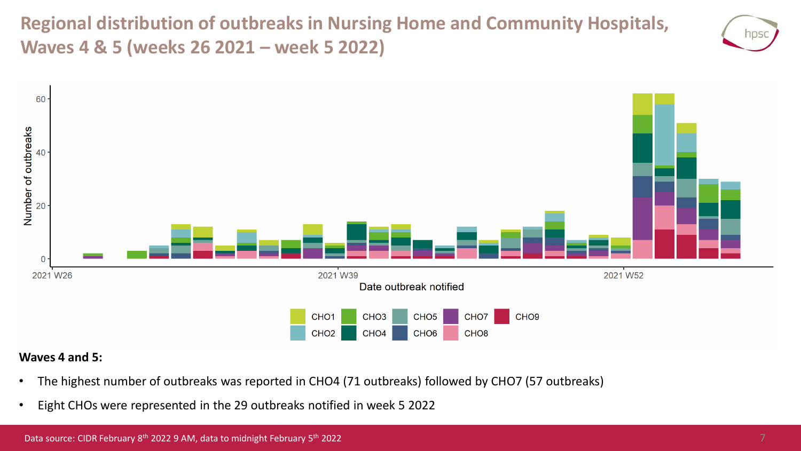**Regional distribution of outbreaks in Nursing Home and Community Hospitals, Waves 4 & 5 (weeks 26 2021 – week 5 2022)**





#### **Waves 4 and 5:**

- The highest number of outbreaks was reported in CHO4 (71 outbreaks) followed by CHO7 (57 outbreaks)
- Eight CHOs were represented in the 29 outbreaks notified in week 5 2022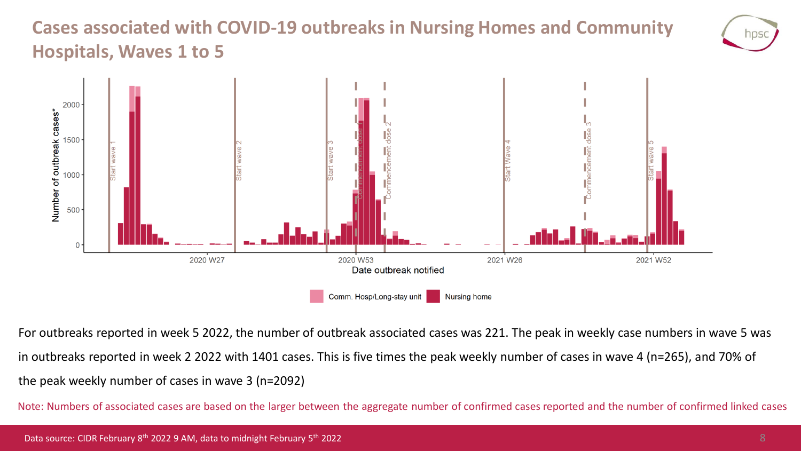## **Cases associated with COVID-19 outbreaks in Nursing Homes and Community Hospitals, Waves 1 to 5**





For outbreaks reported in week 5 2022, the number of outbreak associated cases was 221. The peak in weekly case numbers in wave 5 was in outbreaks reported in week 2 2022 with 1401 cases. This is five times the peak weekly number of cases in wave 4 (n=265), and 70% of the peak weekly number of cases in wave 3 (n=2092)

Note: Numbers of associated cases are based on the larger between the aggregate number of confirmed cases reported and the number of confirmed linked cases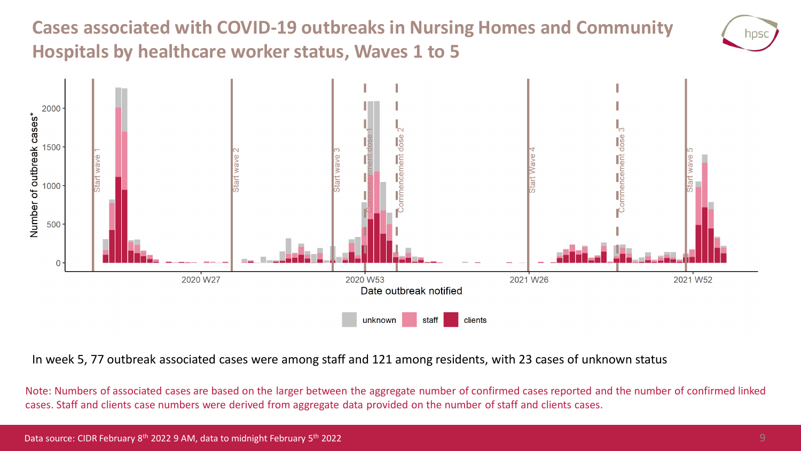## **Cases associated with COVID-19 outbreaks in Nursing Homes and Community Hospitals by healthcare worker status, Waves 1 to 5**



In week 5, 77 outbreak associated cases were among staff and 121 among residents, with 23 cases of unknown status

Note: Numbers of associated cases are based on the larger between the aggregate number of confirmed cases reported and the number of confirmed linked cases. Staff and clients case numbers were derived from aggregate data provided on the number of staff and clients cases.

NDS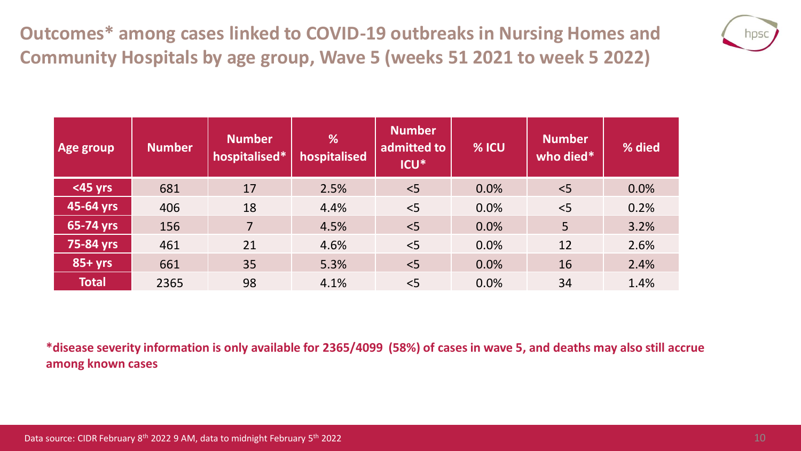**Outcomes\* among cases linked to COVID-19 outbreaks in Nursing Homes and Community Hospitals by age group, Wave 5 (weeks 51 2021 to week 5 2022)**



| Age group    | <b>Number</b> | <b>Number</b><br>hospitalised* | %<br>hospitalised | <b>Number</b><br>admitted to<br><b>ICU*</b> | % ICU | <b>Number</b><br>who died* | % died |
|--------------|---------------|--------------------------------|-------------------|---------------------------------------------|-------|----------------------------|--------|
| <45 yrs      | 681           | 17                             | 2.5%              | < 5                                         | 0.0%  | < 5                        | 0.0%   |
| 45-64 yrs    | 406           | 18                             | 4.4%              | < 5                                         | 0.0%  | < 5                        | 0.2%   |
| 65-74 yrs    | 156           | $\overline{7}$                 | 4.5%              | $\leq$                                      | 0.0%  | 5                          | 3.2%   |
| 75-84 yrs    | 461           | 21                             | 4.6%              | < 5                                         | 0.0%  | 12                         | 2.6%   |
| $85+yrs$     | 661           | 35                             | 5.3%              | < 5                                         | 0.0%  | 16                         | 2.4%   |
| <b>Total</b> | 2365          | 98                             | 4.1%              | < 5                                         | 0.0%  | 34                         | 1.4%   |

**\*disease severity information is only available for 2365/4099 (58%) of cases in wave 5, and deaths may also still accrue among known cases**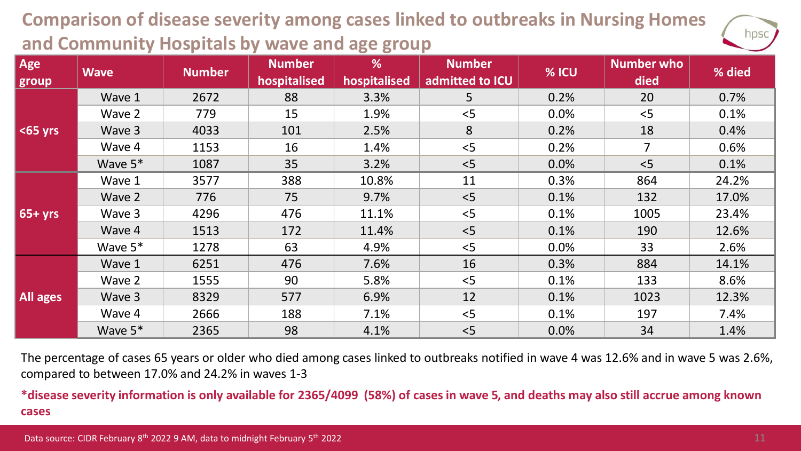### **Comparison of disease severity among cases linked to outbreaks in Nursing Homes and Community Hospitals by wave and age group**



| Age<br>group | <b>Wave</b> | <b>Number</b> | <b>Number</b><br>hospitalised | %<br>hospitalised | <b>Number</b><br>admitted to ICU | % ICU | <b>Number who</b><br>died | % died |
|--------------|-------------|---------------|-------------------------------|-------------------|----------------------------------|-------|---------------------------|--------|
| $65$ yrs     | Wave 1      | 2672          | 88                            | 3.3%              | 5                                | 0.2%  | 20                        | 0.7%   |
|              | Wave 2      | 779           | 15                            | 1.9%              | < 5                              | 0.0%  | < 5                       | 0.1%   |
|              | Wave 3      | 4033          | 101                           | 2.5%              | 8                                | 0.2%  | 18                        | 0.4%   |
|              | Wave 4      | 1153          | 16                            | 1.4%              | < 5                              | 0.2%  | 7                         | 0.6%   |
|              | Wave $5*$   | 1087          | 35                            | 3.2%              | < 5                              | 0.0%  | < 5                       | 0.1%   |
| $65+yrs$     | Wave 1      | 3577          | 388                           | 10.8%             | 11                               | 0.3%  | 864                       | 24.2%  |
|              | Wave 2      | 776           | 75                            | 9.7%              | < 5                              | 0.1%  | 132                       | 17.0%  |
|              | Wave 3      | 4296          | 476                           | 11.1%             | < 5                              | 0.1%  | 1005                      | 23.4%  |
|              | Wave 4      | 1513          | 172                           | 11.4%             | < 5                              | 0.1%  | 190                       | 12.6%  |
|              | Wave $5*$   | 1278          | 63                            | 4.9%              | < 5                              | 0.0%  | 33                        | 2.6%   |
| All ages     | Wave 1      | 6251          | 476                           | 7.6%              | 16                               | 0.3%  | 884                       | 14.1%  |
|              | Wave 2      | 1555          | 90                            | 5.8%              | 5                                | 0.1%  | 133                       | 8.6%   |
|              | Wave 3      | 8329          | 577                           | 6.9%              | 12                               | 0.1%  | 1023                      | 12.3%  |
|              | Wave 4      | 2666          | 188                           | 7.1%              | < 5                              | 0.1%  | 197                       | 7.4%   |
|              | Wave $5*$   | 2365          | 98                            | 4.1%              | < 5                              | 0.0%  | 34                        | 1.4%   |

The percentage of cases 65 years or older who died among cases linked to outbreaks notified in wave 4 was 12.6% and in wave 5 was 2.6%, compared to between 17.0% and 24.2% in waves 1-3

**\*disease severity information is only available for 2365/4099 (58%) of cases in wave 5, and deaths may also still accrue among known cases**